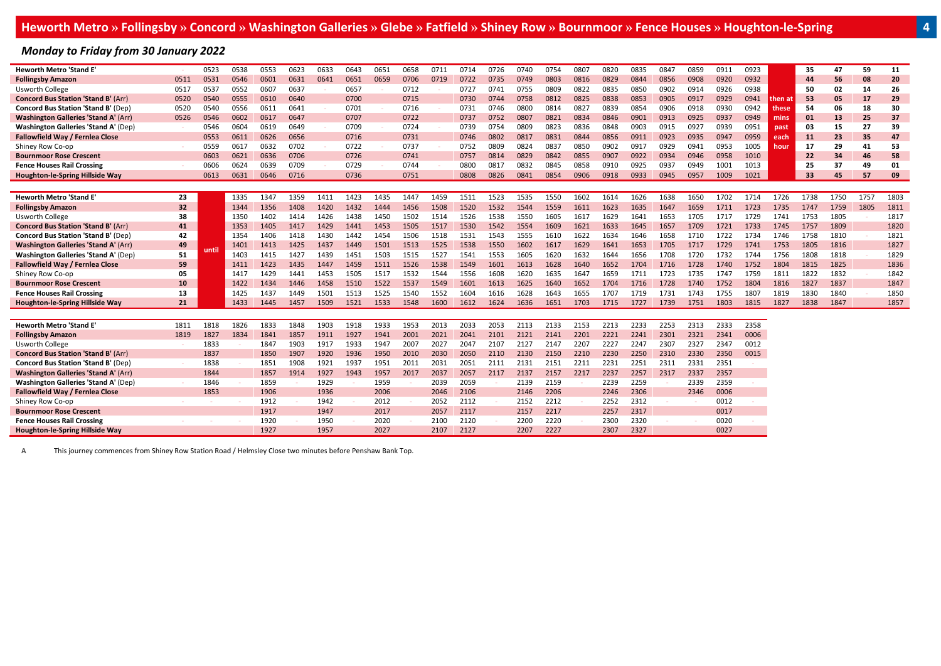### *Monday to Friday from 30 January 2022*

| <b>Heworth Metro 'Stand E'</b>              |      | 0523  | 0538 | 0553 | 0623 | 0633 | 0643 | 0651 | 0658 | 0711 | 0714 | 0726 | 0740 | 0754 | 0807 | 0820 | 0835 | 0847 | 0859 | 0911 | 0923 |         | 35        | 47   | 59   | 11   |
|---------------------------------------------|------|-------|------|------|------|------|------|------|------|------|------|------|------|------|------|------|------|------|------|------|------|---------|-----------|------|------|------|
| <b>Follingsby Amazon</b>                    | 0511 | 0531  | 0546 | 0601 | 0631 | 0641 | 0651 | 0659 | 0706 | 0719 | 0722 | 0735 | 0749 | 0803 | 0816 | 0829 | 0844 | 0856 | 0908 | 0920 | 0932 |         | 44        | 56   | 08   | 20   |
| <b>Usworth College</b>                      | 0517 | 0537  | 0552 | 0607 | 0637 |      | 0657 |      | 0712 |      | 0727 | 0741 | 0755 | 0809 | 0822 | 0835 | 0850 | 0902 | 0914 | 0926 | 0938 |         | 50        | 02   | 14   | 26   |
| <b>Concord Bus Station 'Stand B' (Arr)</b>  | 0520 | 0540  | 0555 | 0610 | 0640 |      | 0700 |      | 0715 |      | 0730 | 0744 | 0758 | 0812 | 0825 | 0838 | 0853 | 0905 | 0917 | 0929 | 0941 | then ai | 53        | 05   | 17   | 29   |
| <b>Concord Bus Station 'Stand B' (Dep)</b>  | 0520 | 0540  | 0556 | 0611 | 0641 |      | 0701 |      | 0716 |      | 0731 | 0746 | 0800 | 0814 | 0827 | 0839 | 0854 | 0906 | 0918 | 0930 | 0942 | these   | 54        | 06   | 18   | 30   |
| <b>Washington Galleries 'Stand A' (Arr)</b> | 0526 | 0546  | 0602 | 0617 | 0647 |      | 0707 |      | 0722 |      | 0737 | 0752 | 0807 | 0821 | 0834 | 0846 | 0901 | 0913 | 0925 | 0937 | 0949 | mins    | 01        | 13   | 25   | 37   |
| <b>Washington Galleries 'Stand A' (Dep)</b> |      | 0546  | 0604 | 0619 | 0649 |      | 0709 |      | 0724 |      | 0739 | 0754 | 0809 | 0823 | 0836 | 0848 | 0903 | 0915 | 0927 | 0939 | 0951 | past    | 03        | 15   | 27   | 39   |
| Fallowfield Way / Fernlea Close             |      | 0553  | 0611 | 0626 | 0656 |      | 0716 |      | 0731 |      | 0746 | 0802 | 0817 | 0831 | 0844 | 0856 | 0911 | 0923 | 0935 | 0947 | 0959 | each    | <b>11</b> | 23   | 35   | 47   |
| Shiney Row Co-op                            |      | 0559  | 0617 | 0632 | 0702 |      | 0722 |      | 0737 |      | 0752 | 0809 | 0824 | 0837 | 0850 | 0902 | 0917 | 0929 | 0941 | 0953 | 1005 | hour    | 17        | 29   | 41   | 53   |
| <b>Bournmoor Rose Crescent</b>              |      | 0603  | 0621 | 0636 | 0706 |      | 0726 |      | 0741 |      | 0757 | 0814 | 0829 | 0842 | 0855 | 0907 | 0922 | 0934 | 0946 | 0958 | 1010 |         | 22        | 34   | 46   | 58   |
| <b>Fence Houses Rail Crossing</b>           |      | 0606  | 0624 | 0639 | 0709 |      | 0729 |      | 0744 |      | 0800 | 0817 | 0832 | 0845 | 0858 | 0910 | 0925 | 0937 | 0949 | 1001 | 1013 |         | 25        | 37   | 49   | 01   |
| Houghton-le-Spring Hillside Way             |      | 0613  | 0631 | 0646 | 0716 |      | 0736 |      | 0751 |      | 0808 | 0826 | 0841 | 0854 | 0906 | 0918 | 0933 | 0945 | 0957 | 1009 | 1021 |         | 33        | 45   | 57   | 09   |
|                                             |      |       |      |      |      |      |      |      |      |      |      |      |      |      |      |      |      |      |      |      |      |         |           |      |      |      |
| <b>Heworth Metro 'Stand E'</b>              | 23   |       | 1335 | 1347 | 1359 | 1411 | 1423 | 1435 | 1447 | 1459 | 1511 | 1523 | 1535 | 1550 | 1602 | 1614 | 1626 | 1638 | 1650 | 1702 | 1714 | 1726    | 1738      | 1750 | 1757 | 1803 |
| <b>Follingsby Amazon</b>                    | 32   |       | 1344 | 1356 | 1408 | 1420 | 1432 | 1444 | 1456 | 1508 | 1520 | 1532 | 1544 | 1559 | 1611 | 1623 | 1635 | 1647 | 1659 | 1711 | 1723 | 1735    | 1747      | 1759 | 1805 | 1811 |
| <b>Usworth College</b>                      | 38   |       | 1350 | 1402 | 1414 | 1426 | 1438 | 1450 | 1502 | 1514 | 1526 | 1538 | 1550 | 1605 | 1617 | 1629 | 1641 | 1653 | 1705 | 1717 | 1729 | 1741    | 1753      | 1805 |      | 1817 |
| <b>Concord Bus Station 'Stand B' (Arr)</b>  | 41   |       | 1353 | 1405 | 1417 | 1429 | 1441 | 1453 | 1505 | 1517 | 1530 | 1542 | 1554 | 1609 | 1621 | 1633 | 1645 | 1657 | 1709 | 1721 | 1733 | 1745    | 1757      | 1809 |      | 1820 |
| <b>Concord Bus Station 'Stand B' (Dep)</b>  | 42   |       | 1354 | 1406 | 1418 | 1430 | 1442 | 1454 | 1506 | 1518 | 1531 | 1543 | 1555 | 1610 | 1622 | 1634 | 1646 | 1658 | 1710 | 1722 | 1734 | 1746    | 1758      | 1810 |      | 1821 |
| <b>Washington Galleries 'Stand A' (Arr)</b> | 49   |       | 1401 | 1413 | 1425 | 1437 | 1449 | 1501 | 1513 | 1525 | 1538 | 1550 | 1602 | 1617 | 1629 | 1641 | 1653 | 1705 | 1717 | 1729 | 1741 | 1753    | 1805      | 1816 |      | 1827 |
| <b>Washington Galleries 'Stand A' (Dep)</b> | 51   | until | 1403 | 1415 | 1427 | 1439 | 1451 | 1503 | 1515 | 1527 | 1541 | 1553 | 1605 | 1620 | 1632 | 1644 | 1656 | 1708 | 1720 | 1732 | 1744 | 1756    | 1808      | 1818 |      | 1829 |
| Fallowfield Way / Fernlea Close             | 59   |       | 1411 | 1423 | 1435 | 1447 | 1459 | 1511 | 1526 | 1538 | 1549 | 1601 | 1613 | 1628 | 1640 | 1652 | 1704 | 1716 | 1728 | 1740 | 1752 | 1804    | 1815      | 1825 |      | 1836 |
| Shiney Row Co-op                            | 05   |       | 1417 | 1429 | 1441 | 1453 | 1505 | 1517 | 1532 | 1544 | 1556 | 1608 | 1620 | 1635 | 1647 | 1659 | 1711 | 1723 | 1735 | 1747 | 1759 | 1811    | 1822      | 1832 |      | 1842 |
| <b>Bournmoor Rose Crescent</b>              | 10   |       | 1422 | 1434 | 1446 | 1458 | 1510 | 1522 | 1537 | 1549 | 1601 | 1613 | 1625 | 1640 | 1652 | 1704 | 1716 | 1728 | 1740 | 1752 | 1804 | 1816    | 1827      | 1837 |      | 1847 |
| <b>Fence Houses Rail Crossing</b>           | 13   |       | 1425 | 1437 | 1449 | 1501 | 1513 | 1525 | 1540 | 1552 | 1604 | 1616 | 1628 | 1643 | 1655 | 1707 | 1719 | 1731 | 1743 | 1755 | 1807 | 1819    | 1830      | 1840 |      | 1850 |
| Houghton-le-Spring Hillside Way             | 21   |       | 1433 | 1445 | 1457 | 1509 | 1521 | 1533 | 1548 | 1600 | 1612 | 1624 | 1636 | 1651 | 1703 | 1715 | 1727 | 1739 | 1751 | 1803 | 1815 | 1827    | 1838      | 1847 |      | 1857 |
|                                             |      |       |      |      |      |      |      |      |      |      |      |      |      |      |      |      |      |      |      |      |      |         |           |      |      |      |
| <b>Heworth Metro 'Stand E'</b>              | 1811 | 1818  | 1826 | 1833 | 1848 | 1903 | 1918 | 1933 | 1953 | 2013 | 2033 | 2053 | 2113 | 2133 | 2153 | 2213 | 2233 | 2253 | 2313 | 2333 | 2358 |         |           |      |      |      |
| <b>Follingsby Amazon</b>                    | 1819 | 1827  | 1834 | 1841 | 1857 | 1911 | 1927 | 1941 | 2001 | 2021 | 2041 | 2101 | 2121 | 2141 | 2201 | 2221 | 2241 | 2301 | 2321 | 2341 | 0006 |         |           |      |      |      |
| <b>Usworth College</b>                      |      | 1833  |      | 1847 | 1903 | 1917 | 1933 | 1947 | 2007 | 2027 | 2047 | 2107 | 2127 | 2147 | 2207 | 2227 | 2247 | 2307 | 2327 | 2347 | 0012 |         |           |      |      |      |
| <b>Concord Bus Station 'Stand B' (Arr)</b>  |      | 1837  |      | 1850 | 1907 | 1920 | 1936 | 1950 | 2010 | 2030 | 2050 | 2110 | 2130 | 2150 | 2210 | 2230 | 2250 | 2310 | 2330 | 2350 | 0015 |         |           |      |      |      |
| Concord Bus Station 'Stand B' (Dep)         |      | 1838  |      | 1851 | 1908 | 1921 | 1937 | 1951 | 2011 | 2031 | 2051 | 2111 | 2131 | 2151 | 2211 | 2231 | 2251 | 2311 | 2331 | 2351 |      |         |           |      |      |      |
| <b>Washington Galleries 'Stand A' (Arr)</b> |      | 1844  |      | 1857 | 1914 | 1927 | 1943 | 1957 | 2017 | 2037 | 2057 | 2117 | 2137 | 2157 | 2217 | 2237 | 2257 | 2317 | 2337 | 2357 |      |         |           |      |      |      |
| <b>Washington Galleries 'Stand A' (Dep)</b> |      | 1846  |      | 1859 |      | 1929 |      | 1959 |      | 2039 | 2059 |      | 2139 | 2159 |      | 2239 | 2259 |      | 2339 | 2359 |      |         |           |      |      |      |
| Fallowfield Way / Fernlea Close             |      | 1853  |      | 1906 |      | 1936 |      | 2006 |      | 2046 | 2106 |      | 2146 | 2206 |      | 2246 | 2306 |      | 2346 | 0006 |      |         |           |      |      |      |
| Shiney Row Co-op                            |      |       |      | 1912 |      | 1942 |      | 2012 |      | 2052 | 2112 |      | 2152 | 2212 |      | 2252 | 2312 |      |      | 0012 |      |         |           |      |      |      |
| <b>Bournmoor Rose Crescent</b>              |      |       |      | 1917 |      | 1947 |      | 2017 |      | 2057 | 2117 |      | 2157 | 2217 |      | 2257 | 2317 |      |      | 0017 |      |         |           |      |      |      |
| <b>Fence Houses Rail Crossing</b>           |      |       |      | 1920 |      | 1950 |      | 2020 |      | 2100 | 2120 |      | 2200 | 2220 |      | 2300 | 2320 |      |      | 0020 |      |         |           |      |      |      |
| Houghton-le-Spring Hillside Way             |      |       |      | 1927 |      | 1957 |      | 2027 |      | 2107 | 2127 |      | 2207 | 2227 |      | 2307 | 2327 |      |      | 0027 |      |         |           |      |      |      |

**A** This journey commences from Shiney Row Station Road / Helmsley Close two minutes before Penshaw Bank Top.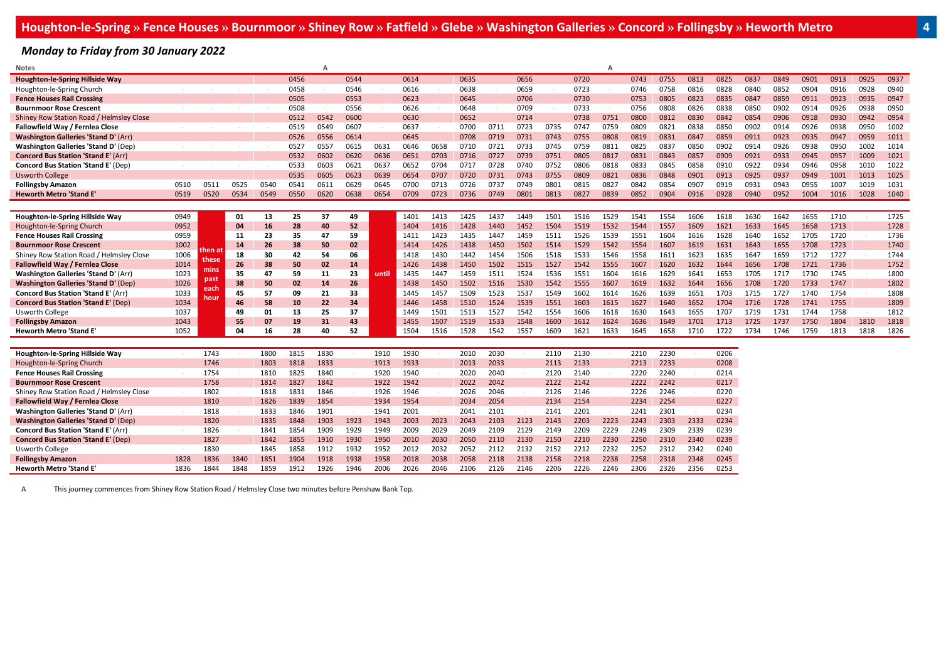*Monday to Friday from 30 January 2022*

| <b>Notes</b>                                |      |        |      |      |      | A    |      |       |      |      |      |      |      |      |      | $\Delta$ |      |      |      |      |      |      |      |      |      |      |
|---------------------------------------------|------|--------|------|------|------|------|------|-------|------|------|------|------|------|------|------|----------|------|------|------|------|------|------|------|------|------|------|
| <b>Houghton-le-Spring Hillside Way</b>      |      |        |      |      | 0456 |      | 0544 |       | 0614 |      | 0635 |      | 0656 |      | 0720 |          | 0743 | 0755 | 0813 | 0825 | 0837 | 0849 | 0901 | 0913 | 0925 | 0937 |
| Houghton-le-Spring Church                   |      |        |      |      | 0458 |      | 0546 |       | 0616 |      | 0638 |      | 0659 |      | 0723 |          | 0746 | 0758 | 0816 | 0828 | 0840 | 0852 | 0904 | 0916 | 0928 | 0940 |
| <b>Fence Houses Rail Crossing</b>           |      |        |      |      | 0505 |      | 0553 |       | 0623 |      | 0645 |      | 0706 |      | 0730 |          | 0753 | 0805 | 0823 | 0835 | 0847 | 0859 | 0911 | 0923 | 0935 | 0947 |
| <b>Bournmoor Rose Crescent</b>              |      |        |      |      | 0508 |      | 0556 |       | 0626 |      | 0648 |      | 0709 |      | 0733 |          | 0756 | 0808 | 0826 | 0838 | 0850 | 0902 | 0914 | 0926 | 0938 | 0950 |
| Shiney Row Station Road / Helmsley Close    |      |        |      |      | 0512 | 0542 | 0600 |       | 0630 |      | 0652 |      | 0714 |      | 0738 | 0751     | 0800 | 0812 | 0830 | 0842 | 0854 | 0906 | 0918 | 0930 | 0942 | 0954 |
| Fallowfield Way / Fernlea Close             |      |        |      |      | 0519 | 0549 | 0607 |       | 0637 |      | 0700 | 0711 | 0723 | 0735 | 0747 | 0759     | 0809 | 0821 | 0838 | 0850 | 0902 | 0914 | 0926 | 0938 | 0950 | 1002 |
| <b>Washington Galleries 'Stand D' (Arr)</b> |      |        |      |      | 0526 | 0556 | 0614 |       | 0645 |      | 0708 | 0719 | 0731 | 0743 | 0755 | 0808     | 0819 | 0831 | 0847 | 0859 | 0911 | 0923 | 0935 | 0947 | 0959 | 1011 |
| <b>Washington Galleries 'Stand D' (Dep)</b> |      |        |      |      | 0527 | 0557 | 0615 | 0631  | 0646 | 0658 | 0710 | 0721 | 0733 | 0745 | 0759 | 0811     | 0825 | 0837 | 0850 | 0902 | 0914 | 0926 | 0938 | 0950 | 1002 | 1014 |
| <b>Concord Bus Station 'Stand E' (Arr)</b>  |      |        |      |      | 0532 | 0602 | 0620 | 0636  | 0651 | 0703 | 0716 | 0727 | 0739 | 0751 | 0805 | 0817     | 0831 | 0843 | 0857 | 0909 | 0921 | 0933 | 0945 | 0957 | 1009 | 1021 |
| <b>Concord Bus Station 'Stand E' (Dep)</b>  |      |        |      |      | 0533 | 0603 | 0621 | 0637  | 0652 | 0704 | 0717 | 0728 | 0740 | 0752 | 0806 | 0818     | 0833 | 0845 | 0858 | 0910 | 0922 | 0934 | 0946 | 0958 | 1010 | 1022 |
| <b>Usworth College</b>                      |      |        |      |      | 0535 | 0605 | 0623 | 0639  | 0654 | 0707 | 0720 | 0731 | 0743 | 0755 | 0809 | 0821     | 0836 | 0848 | 0901 | 0913 | 0925 | 0937 | 0949 | 1001 | 1013 | 1025 |
| <b>Follingsby Amazon</b>                    | 0510 | 0511   | 0525 | 0540 | 0541 | 0611 | 0629 | 0645  | 0700 | 0713 | 0726 | 0737 | 0749 | 0801 | 0815 | 0827     | 0842 | 0854 | 0907 | 0919 | 0931 | 0943 | 0955 | 1007 | 1019 | 1031 |
| <b>Heworth Metro 'Stand E</b>               | 0519 | 0520   | 0534 | 0549 | 0550 | 0620 | 0638 | 0654  | 0709 | 0723 | 0736 | 0749 | 0801 | 0813 | 0827 | 0839     | 0852 | 0904 | 0916 | 0928 | 0940 | 0952 | 1004 | 1016 | 1028 | 1040 |
|                                             |      |        |      |      |      |      |      |       |      |      |      |      |      |      |      |          |      |      |      |      |      |      |      |      |      |      |
| Houghton-le-Spring Hillside Way             | 0949 |        | 01   | 13   | 25   | 37   | 49   |       | 1401 | 1413 | 1425 | 1437 | 1449 | 1501 | 1516 | 1529     | 1541 | 1554 | 1606 | 1618 | 1630 | 1642 | 1655 | 1710 |      | 1725 |
| Houghton-le-Spring Church                   | 0952 |        | 04   | 16   | 28   | 40   | 52   |       | 1404 | 1416 | 1428 | 1440 | 1452 | 1504 | 1519 | 1532     | 1544 | 1557 | 1609 | 1621 | 1633 | 1645 | 1658 | 1713 |      | 1728 |
| <b>Fence Houses Rail Crossing</b>           | 0959 |        | 11   | 23   | 35   | 47   | 59   |       | 1411 | 1423 | 1435 | 1447 | 1459 | 1511 | 1526 | 1539     | 1551 | 1604 | 1616 | 1628 | 1640 | 1652 | 1705 | 1720 |      | 1736 |
| <b>Bournmoor Rose Crescent</b>              | 1002 |        | 14   | 26   | 38   | 50   | 02   |       | 1414 | 1426 | 1438 | 1450 | 1502 | 1514 | 1529 | 1542     | 1554 | 1607 | 1619 | 1631 | 1643 | 1655 | 1708 | 1723 |      | 1740 |
| Shiney Row Station Road / Helmsley Close    | 1006 | then a | 18   | 30   | 42   | 54   | 06   |       | 1418 | 1430 | 1442 | 1454 | 1506 | 1518 | 1533 | 1546     | 1558 | 1611 | 1623 | 1635 | 1647 | 1659 | 1712 | 1727 |      | 1744 |
| <b>Fallowfield Way / Fernlea Close</b>      | 1014 | these  | 26   | 38   | 50   | 02   | 14   |       | 1426 | 1438 | 1450 | 1502 | 1515 | 1527 | 1542 | 1555     | 1607 | 1620 | 1632 | 1644 | 1656 | 1708 | 1721 | 1736 |      | 1752 |
| <b>Washington Galleries 'Stand D' (Arr)</b> | 1023 | mins   | 35   | 47   | 59   | 11   | 23   | until | 1435 | 1447 | 1459 | 1511 | 1524 | 1536 | 1551 | 1604     | 1616 | 1629 | 1641 | 1653 | 1705 | 1717 | 1730 | 1745 |      | 1800 |
| <b>Washington Galleries 'Stand D' (Dep)</b> | 1026 | past   | 38   | 50   | 02   | 14   | 26   |       | 1438 | 1450 | 1502 | 1516 | 1530 | 1542 | 1555 | 1607     | 1619 | 1632 | 1644 | 1656 | 1708 | 1720 | 1733 | 1747 |      | 1802 |
| <b>Concord Bus Station 'Stand E' (Arr)</b>  | 1033 | each   | 45   | 57   | 09   | 21   | 33   |       | 1445 | 1457 | 1509 | 1523 | 1537 | 1549 | 1602 | 1614     | 1626 | 1639 | 1651 | 1703 | 1715 | 1727 | 1740 | 1754 |      | 1808 |
| <b>Concord Bus Station 'Stand E' (Dep)</b>  | 1034 | houi   | 46   | 58   | 10   | 22   | 34   |       | 1446 | 1458 | 1510 | 1524 | 1539 | 1551 | 1603 | 1615     | 1627 | 1640 | 1652 | 1704 | 1716 | 1728 | 1741 | 1755 |      | 1809 |
| <b>Usworth College</b>                      | 1037 |        | 49   | 01   | 13   | 25   | 37   |       | 1449 | 1501 | 1513 | 1527 | 1542 | 1554 | 1606 | 1618     | 1630 | 1643 | 1655 | 1707 | 1719 | 1731 | 1744 | 1758 |      | 1812 |
| <b>Follingsby Amazon</b>                    | 1043 |        | 55   | 07   | 19   | 31   | 43   |       | 1455 | 1507 | 1519 | 1533 | 1548 | 1600 | 1612 | 1624     | 1636 | 1649 | 1701 | 1713 | 1725 | 1737 | 1750 | 1804 | 1810 | 1818 |
| <b>Heworth Metro 'Stand E'</b>              | 1052 |        | 04   | 16   | 28   | 40   | 52   |       | 1504 | 1516 | 1528 | 1542 | 1557 | 1609 | 1621 | 1633     | 1645 | 1658 | 1710 | 1722 | 1734 | 1746 | 1759 | 1813 | 1818 | 1826 |
|                                             |      |        |      |      |      |      |      |       |      |      |      |      |      |      |      |          |      |      |      |      |      |      |      |      |      |      |
| <b>Houghton-le-Spring Hillside Way</b>      |      | 1743   |      | 1800 | 1815 | 1830 |      | 1910  | 1930 |      | 2010 | 2030 |      | 2110 | 2130 |          | 2210 | 2230 |      | 0206 |      |      |      |      |      |      |
| Houghton-le-Spring Church                   |      | 1746   |      | 1803 | 1818 | 1833 |      | 1913  | 1933 |      | 2013 | 2033 |      | 2113 | 2133 |          | 2213 | 2233 |      | 0208 |      |      |      |      |      |      |
| <b>Fence Houses Rail Crossing</b>           |      | 1754   |      | 1810 | 1825 | 1840 |      | 1920  | 1940 |      | 2020 | 2040 |      | 2120 | 2140 |          | 2220 | 2240 |      | 0214 |      |      |      |      |      |      |
| <b>Bournmoor Rose Crescent</b>              |      | 1758   |      | 1814 | 1827 | 1842 |      | 1922  | 1942 |      | 2022 | 2042 |      | 2122 | 2142 |          | 2222 | 2242 |      | 0217 |      |      |      |      |      |      |
| Shiney Row Station Road / Helmsley Close    |      | 1802   |      | 1818 | 1831 | 1846 |      | 1926  | 1946 |      | 2026 | 2046 |      | 2126 | 2146 |          | 2226 | 2246 |      | 0220 |      |      |      |      |      |      |
| Fallowfield Way / Fernlea Close             |      | 1810   |      | 1826 | 1839 | 1854 |      | 1934  | 1954 |      | 2034 | 2054 |      | 2134 | 2154 |          | 2234 | 2254 |      | 0227 |      |      |      |      |      |      |
| Washington Galleries 'Stand D' (Arr)        |      | 1818   |      | 1833 | 1846 | 1901 |      | 1941  | 2001 |      | 2041 | 2101 |      | 2141 | 2201 |          | 2241 | 2301 |      | 0234 |      |      |      |      |      |      |
| <b>Washington Galleries 'Stand D' (Dep)</b> |      | 1820   |      | 1835 | 1848 | 1903 | 1923 | 1943  | 2003 | 2023 | 2043 | 2103 | 2123 | 2143 | 2203 | 2223     | 2243 | 2303 | 2333 | 0234 |      |      |      |      |      |      |
| <b>Concord Bus Station 'Stand E' (Arr)</b>  |      | 1826   |      | 1841 | 1854 | 1909 | 1929 | 1949  | 2009 | 2029 | 2049 | 2109 | 2129 | 2149 | 2209 | 2229     | 2249 | 2309 | 2339 | 0239 |      |      |      |      |      |      |
| <b>Concord Bus Station 'Stand E' (Dep)</b>  |      | 1827   |      | 1842 | 1855 | 1910 | 1930 | 1950  | 2010 | 2030 | 2050 | 2110 | 2130 | 2150 | 2210 | 2230     | 2250 | 2310 | 2340 | 0239 |      |      |      |      |      |      |
| <b>Usworth College</b>                      |      | 1830   |      | 1845 | 1858 | 1912 | 1932 | 1952  | 2012 | 2032 | 2052 | 2112 | 2132 | 2152 | 2212 | 2232     | 2252 | 2312 | 2342 | 0240 |      |      |      |      |      |      |
| <b>Follingsby Amazon</b>                    | 1828 | 1836   | 1840 | 1851 | 1904 | 1918 | 1938 | 1958  | 2018 | 2038 | 2058 | 2118 | 2138 | 2158 | 2218 | 2238     | 2258 | 2318 | 2348 | 0245 |      |      |      |      |      |      |
| <b>Heworth Metro 'Stand E'</b>              | 1836 | 1844   | 1848 | 1859 | 1912 | 1926 | 1946 | 2006  | 2026 | 2046 | 2106 | 2126 | 2146 | 2206 | 2226 | 2246     | 2306 | 2326 | 2356 | 0253 |      |      |      |      |      |      |

**A** This journey commences from Shiney Row Station Road / Helmsley Close two minutes before Penshaw Bank Top.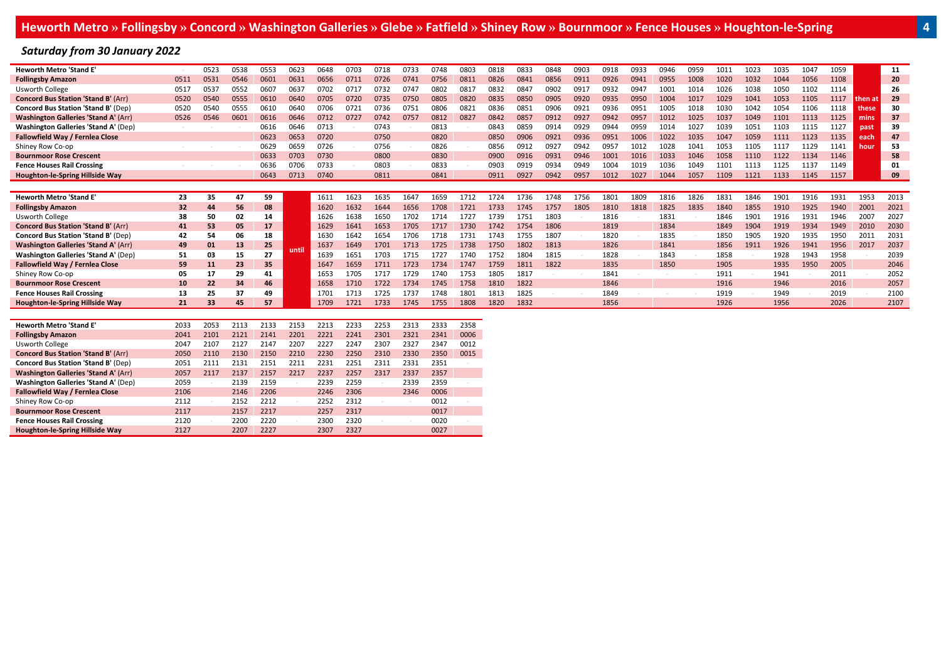## *Saturday from 30 January 2022*

| <b>Heworth Metro 'Stand E'</b>              |      | 0523 | 0538 | 0553 | 0623  | 0648 | 0703 | 0718 | 0733 | 0748 | 0803 | 0818 | 0833 | 0848 | 0903 | 0918 | 0933 | 0946 | 0959 | 1011 | 1023 | 1035 | 1047 | 1059 |           | 11   |
|---------------------------------------------|------|------|------|------|-------|------|------|------|------|------|------|------|------|------|------|------|------|------|------|------|------|------|------|------|-----------|------|
| <b>Follingsby Amazon</b>                    | 051  | 0531 | 0546 | 0601 | 0631  | 065  | 0711 | 0726 | 0741 | 0756 | 0811 | 0826 | 0841 | 0856 | 0911 | 0926 | 0941 | 0955 | 1008 | 1020 | 1032 | 1044 | 1056 | 1108 |           | 20   |
| <b>Usworth College</b>                      | 051  | 053. | 0552 | 0607 | 063   | 0702 | 071  | 0732 |      | 0802 | 081  | 0832 | 084  | 0902 | 0917 | 0932 | 0947 | 1001 | 1014 | 1026 | 1038 |      | 1102 | 1114 |           | 26   |
| <b>Concord Bus Station 'Stand B' (Arr)</b>  | 0520 | 0540 | 0555 | 0610 | 0640  | 0705 | 0720 | 0735 |      | 0805 | 0820 | 0835 | 0850 | 0905 | 0920 | 0935 | 0950 | 1004 | 1017 | 1029 | 1041 | 1053 | 1105 | 1117 | l then at | 29   |
| <b>Concord Bus Station 'Stand B' (Dep)</b>  | 0520 | 0540 | 0555 | 0610 | 0640  | በ7በ  | 072: | 0736 | 0751 | 0806 | 082  | 0836 | 0851 | 090  | 0921 | 0936 | 0951 | 1005 | 1018 | 1030 | 1042 | 1054 | 1106 | 1118 | these     | 30   |
| <b>Washington Galleries 'Stand A' (Arr)</b> | 0526 | 0546 | 0601 | 0616 | 0646  | 0712 | 072  | 0742 | 075  | 0812 | 0827 | 0842 | 0857 | 0912 | 0927 | 0942 | 0957 | 1012 | 1025 | 1037 | 1049 | 1101 | 1113 | 1125 | mins      | 37   |
| <b>Washington Galleries 'Stand A' (Dep)</b> |      |      |      | 0616 | 0646  | 0713 |      | 0743 |      | 0813 |      | 0843 | 0859 | 0914 | 0929 | 0944 | 0959 | 1014 | 1027 | 1039 | 1051 | 1103 | 1115 | 1127 | past      | 39   |
| Fallowfield Way / Fernlea Close             |      |      |      | 0623 | 0653  | 0720 |      | 0750 |      | 0820 |      | 0850 | 0906 | 0921 | 0936 | 0951 | 1006 | 1022 | 1035 | 1047 | 1059 | 1111 | 1123 | 1135 | each      | 47   |
| Shiney Row Co-op                            |      |      |      | 0629 | 0659  | 0726 |      | 0756 |      | 0826 |      | 0856 | 0912 | 092. | 0942 | 0957 | 1012 | 1028 | 1041 | 1053 | 1105 |      | 1129 | 1141 | hour      | 53   |
| <b>Bournmoor Rose Crescent</b>              |      |      |      | 0633 | 0703  | 0730 |      | 0800 |      | 0830 |      | 0900 | 0916 | 0931 | 0946 | 1001 | 1016 | 1033 | 1046 | 1058 | 1110 | 1122 | 1134 | 1146 |           | 58   |
| <b>Fence Houses Rail Crossing</b>           |      |      |      | 0636 | 0706  | 0733 |      | 0803 |      | 0833 |      | 0903 | 0919 | 0934 | 0949 | 1004 | 1019 | 1036 | 1049 | 1101 | 1113 | 1125 | 1137 | 1149 |           | 01   |
| Houghton-le-Spring Hillside Way             |      |      |      | 0643 | 0713  | 0740 |      | 0811 |      | 0841 |      | 0911 | 0927 | 0942 | 0957 | 1012 | 1027 | 1044 | 1057 | 1109 | 1121 | 1133 | 1145 | 1157 |           | 09   |
|                                             |      |      |      |      |       |      |      |      |      |      |      |      |      |      |      |      |      |      |      |      |      |      |      |      |           |      |
|                                             |      |      |      |      |       |      |      |      |      |      |      |      |      |      |      |      |      |      |      |      |      |      |      |      |           |      |
| <b>Heworth Metro 'Stand E'</b>              | 23   | 35   | 47   | 59   |       | 1611 | 1623 | 1635 | 1647 | 1659 | 1712 | 1724 | 1736 | 1748 | 1756 | 1801 | 1809 | 1816 | 1826 | 1831 | 1846 | 1901 | 1916 | 1931 | 1953      | 2013 |
| <b>Follingsby Amazon</b>                    | 32   | 44   | 56   | 08   |       | 1620 | 1632 | 1644 | 1656 | 1708 | 1721 | 1733 | 1745 | 1757 | 1805 | 1810 | 1818 | 1825 | 1835 | 1840 | 1855 | 1910 | 1925 | 1940 | 2001      | 2021 |
| Usworth College                             | 38   | 50   | 02   | 14   |       | 1626 | 1638 | 1650 |      | 1714 |      | 1739 | 175  | 1803 |      | 1816 |      | 1831 |      | 1846 | 1901 |      | 1931 | 1946 | 200       | 2027 |
| <b>Concord Bus Station 'Stand B' (Arr)</b>  | 41   | 53   | 05   | 17   |       | 1629 | 1641 | 1653 | 1705 | 1717 | 1730 | 1742 | 1754 | 1806 |      | 1819 |      | 1834 |      | 1849 | 1904 |      | 1934 | 1949 | 2010      | 2030 |
| <b>Concord Bus Station 'Stand B' (Dep)</b>  | 42   | 54   | 06   | 18   |       | 1630 | 1642 | 1654 | 1706 | 1718 | 1731 | 1743 | 1755 | 1807 |      | 1820 |      | 1835 |      | 1850 | 1905 | 1920 | 1935 | 1950 | 201       | 2031 |
| <b>Washington Galleries 'Stand A' (Arr)</b> | 49   | 01   | 13   | 25   |       | 1637 | 1649 | 1701 |      | 1725 | 1738 | 1750 | 1802 | 1813 |      | 1826 |      | 1841 |      | 1856 | 1911 | 1926 | 1941 | 1956 | 2017      | 2037 |
| <b>Washington Galleries 'Stand A' (Dep)</b> | 51   | 03   | 15   | 27   | until | 1639 | 1651 | 1703 |      | 172  | 1740 | 1752 | 1804 | 1815 |      | 1828 |      | 1843 |      | 1858 |      | 1928 | 1943 | 1958 |           | 2039 |
| Fallowfield Way / Fernlea Close             | 59   | 11   | 23   | 35   |       | 1647 | 1659 | 1711 | 1723 | 1734 | 1747 | 1759 | 1811 | 1822 |      | 1835 |      | 1850 |      | 1905 |      | 1935 | 1950 | 2005 |           | 2046 |
| Shiney Row Co-op                            | 05   | 17   | 29   | 41   |       | 1653 | 1705 | 1717 |      | 1740 | 1753 | 1805 | 1817 |      |      | 1841 |      |      |      | 1911 |      | 1941 |      | 2011 |           | 2052 |
| <b>Bournmoor Rose Crescent</b>              | 10   | 22   | 34   | 46   |       | 1658 | 1710 | 1722 | 1734 | 1745 | 1758 | 1810 | 1822 |      |      | 1846 |      |      |      | 1916 |      | 1946 |      | 2016 |           | 2057 |
| <b>Fence Houses Rail Crossing</b>           | 13   | 25   | 37   | 49   |       | 170  | 1713 | 1725 | 173  | 1748 | 1801 | 1813 | 1825 |      |      | 1849 |      |      |      | 1919 |      | 1949 |      | 2019 |           | 2100 |
| Houghton-le-Spring Hillside Way             | 21   | 33   | 45   | 57   |       | 1709 | 1721 | 1733 | 1745 | 1755 | 1808 | 1820 | 1832 |      |      | 1856 |      |      |      | 1926 |      | 1956 |      | 2026 |           | 2107 |
|                                             |      |      |      |      |       |      |      |      |      |      |      |      |      |      |      |      |      |      |      |      |      |      |      |      |           |      |

| <b>Heworth Metro 'Stand E'</b>              | 2033 | 2053 | 2113 | 2133 | 2153 | 2213 | 2233 | 2253 | 2313 | 2333 | 2358 |
|---------------------------------------------|------|------|------|------|------|------|------|------|------|------|------|
| <b>Follingsby Amazon</b>                    | 2041 | 2101 | 2121 | 2141 | 2201 | 2221 | 2241 | 2301 | 2321 | 2341 | 0006 |
| <b>Usworth College</b>                      | 2047 | 2107 | 2127 | 2147 | 2207 | 2227 | 2247 | 2307 | 2327 | 2347 | 0012 |
| <b>Concord Bus Station 'Stand B' (Arr)</b>  | 2050 | 2110 | 2130 | 2150 | 2210 | 2230 | 2250 | 2310 | 2330 | 2350 | 0015 |
| <b>Concord Bus Station 'Stand B' (Dep)</b>  | 2051 | 2111 | 2131 | 2151 | 2211 | 2231 | 2251 | 2311 | 2331 | 2351 |      |
| <b>Washington Galleries 'Stand A' (Arr)</b> | 2057 | 2117 | 2137 | 2157 | 2217 | 2237 | 2257 | 2317 | 2337 | 2357 |      |
| <b>Washington Galleries 'Stand A' (Dep)</b> | 2059 |      | 2139 | 2159 |      | 2239 | 2259 |      | 2339 | 2359 |      |
| Fallowfield Way / Fernlea Close             | 2106 |      | 2146 | 2206 |      | 2246 | 2306 |      | 2346 | 0006 |      |
| Shiney Row Co-op                            | 2112 |      | 2152 | 2212 |      | 2252 | 2312 |      |      | 0012 |      |
| <b>Bournmoor Rose Crescent</b>              | 2117 |      | 2157 | 2217 |      | 2257 | 2317 |      |      | 0017 |      |
| <b>Fence Houses Rail Crossing</b>           | 2120 |      | 2200 | 2220 |      | 2300 | 2320 |      |      | 0020 |      |
| Houghton-le-Spring Hillside Way             | 2127 |      | 2207 | 2227 |      | 2307 | 2327 |      |      | 0027 |      |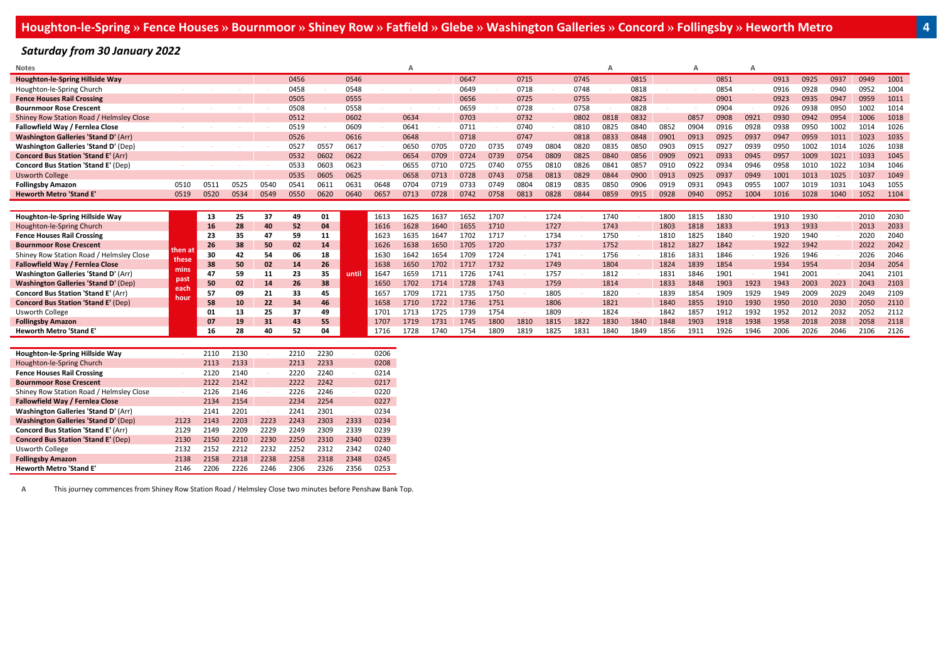*Saturday from 30 January 2022*

| <b>Notes</b>                                |        |      |      |      |      |      |       |      |      |      |      |      |      |      |      |      |      |      |      |      |      |      |      |      |      |      |
|---------------------------------------------|--------|------|------|------|------|------|-------|------|------|------|------|------|------|------|------|------|------|------|------|------|------|------|------|------|------|------|
| Houghton-le-Spring Hillside Way             |        |      |      |      | 0456 |      | 0546  |      |      |      | 0647 |      | 0715 |      | 0745 |      | 0815 |      |      | 0851 |      | 0913 | 0925 | 0937 | 0949 | 1001 |
| Houghton-le-Spring Church                   |        |      |      |      | 0458 |      | 0548  |      |      |      | 0649 |      | 0718 |      | 0748 |      | 0818 |      |      | 0854 |      | 0916 | 0928 | 0940 | 0952 | 1004 |
| <b>Fence Houses Rail Crossing</b>           |        |      |      |      | 0505 |      | 0555  |      |      |      | 0656 |      | 0725 |      | 0755 |      | 0825 |      |      | 0901 |      | 0923 | 0935 | 0947 | 0959 | 1011 |
| <b>Bournmoor Rose Crescent</b>              |        |      |      |      | 0508 |      | 0558  |      |      |      | 0659 |      | 0728 |      | 0758 |      | 0828 |      |      | 0904 |      | 0926 | 0938 | 0950 | 1002 | 1014 |
| Shiney Row Station Road / Helmsley Close    |        |      |      |      | 0512 |      | 0602  |      | 0634 |      | 0703 |      | 0732 |      | 0802 | 0818 | 0832 |      | 0857 | 0908 | 0921 | 0930 | 0942 | 0954 | 1006 | 1018 |
| Fallowfield Way / Fernlea Close             |        |      |      |      | 0519 |      | 0609  |      | 0641 |      | 0711 |      | 0740 |      | 0810 | 0825 | 0840 | 0852 | 0904 | 0916 | 0928 | 0938 | 0950 | 1002 | 1014 | 1026 |
| <b>Washington Galleries 'Stand D' (Arr)</b> |        |      |      |      | 0526 |      | 0616  |      | 0648 |      | 0718 |      | 0747 |      | 0818 | 0833 | 0848 | 0901 | 0913 | 0925 | 0937 | 0947 | 0959 | 1011 | 1023 | 1035 |
| <b>Washington Galleries 'Stand D' (Dep)</b> |        |      |      |      | 0527 | 0557 | 0617  |      | 0650 | 0705 | 0720 | 0735 | 0749 | 0804 | 0820 | 0835 | 0850 | 0903 | 0915 | 0927 | 0939 | 0950 | 1002 | 1014 | 1026 | 1038 |
| <b>Concord Bus Station 'Stand E' (Arr)</b>  |        |      |      |      | 0532 | 0602 | 0622  |      | 0654 | 0709 | 0724 | 0739 | 0754 | 0809 | 0825 | 0840 | 0856 | 0909 | 0921 | 0933 | 0945 | 0957 | 1009 | 1021 | 1033 | 1045 |
| <b>Concord Bus Station 'Stand E' (Dep)</b>  |        |      |      |      | 0533 | 0603 | 0623  |      | 0655 | 0710 | 0725 | 0740 | 0755 | 081  | 0826 | 0841 | 0857 | 0910 | 092  | 0934 | 0946 |      |      | 1022 | 1034 | 1046 |
| <b>Usworth College</b>                      |        |      |      |      | 0535 | 0605 | 0625  |      | 0658 | 0713 | 0728 | 0743 | 0758 | 0813 | 0829 | 0844 | 0900 | 0913 | 0925 | 0937 | 0949 | 1001 | 1013 | 1025 | 1037 | 1049 |
| <b>Follingsby Amazon</b>                    | 0510   | 0511 | 0525 | 0540 | 0541 |      | 063   | 0648 | 0704 | 0719 | 0733 | 0749 | 0804 | 0819 | 0835 | 0850 | 0906 | 0919 | 093  | 0943 | 0955 |      | 1019 | 1031 | 1043 | 1055 |
| <b>Heworth Metro 'Stand E'</b>              | 0519   | 0520 | 0534 | 0549 | 0550 | 0620 | 0640  | 0657 | 0713 | 0728 | 0742 | 0758 | 0813 | 0828 | 0844 | 0859 | 0915 | 0928 | 0940 | 0952 | 1004 | 1016 | 1028 | 1040 | 1052 | 1104 |
|                                             |        |      |      |      |      |      |       |      |      |      |      |      |      |      |      |      |      |      |      |      |      |      |      |      |      |      |
| Houghton-le-Spring Hillside Way             |        | 13   | 25   | 37   | 49   | 01   |       | 1613 | 1625 | 1637 | 1652 | 1707 |      | 1724 |      | 1740 |      | 1800 | 1815 | 1830 |      | 1910 | 1930 |      | 2010 | 2030 |
| Houghton-le-Spring Church                   |        | 16   | 28   | 40   | 52   | 04   |       | 1616 | 1628 | 1640 | 1655 | 1710 |      | 1727 |      | 1743 |      | 1803 | 1818 | 1833 |      | 1913 | 1933 |      | 2013 | 2033 |
| <b>Fence Houses Rail Crossing</b>           |        | 23   | 35   | 47   | 59   | 11   |       | 1623 | 1635 | 1647 | 1702 | 1717 |      | 1734 |      | 1750 |      | 1810 | 1825 | 1840 |      | 1920 | 1940 |      | 2020 | 2040 |
| <b>Bournmoor Rose Crescent</b>              | then a | 26   | 38   | 50   | 02   | 14   |       | 1626 | 1638 | 1650 | 1705 | 1720 |      | 1737 |      | 1752 |      | 1812 | 182  | 1842 |      | 1922 | 1942 |      | 2022 | 2042 |
| Shiney Row Station Road / Helmsley Close    | these  | 30   | 42   | 54   | 06   | 18   |       | 1630 | 1642 | 1654 | 1709 | 1724 |      | 1741 |      | 1756 |      | 1816 | 183. | 1846 |      | 1926 | 1946 |      | 2026 | 2046 |
| Fallowfield Way / Fernlea Close             | mins   | 38   | 50   | 02   | 14   | 26   |       | 1638 | 1650 | 1702 | 171  | 1732 |      | 1749 |      | 1804 |      | 1824 | 1839 | 1854 |      | 1934 | 1954 |      | 2034 | 2054 |
| <b>Washington Galleries 'Stand D' (Arr)</b> | past   | 47   | 59   | 11   | 23   | 35   | until | 1647 | 1659 | 1711 | 1726 | 1741 |      | 1757 |      | 1812 |      | 1831 | 1846 | 1901 |      | 1941 | 2001 |      | 2041 | 2101 |
| <b>Washington Galleries 'Stand D' (Dep)</b> | each   | 50   | 02   | 14   | 26   | 38   |       | 1650 | 1702 | 1714 | 1728 | 1743 |      | 1759 |      | 1814 |      | 1833 | 1848 | 1903 | 1923 | 1943 | 2003 | 2023 | 2043 | 2103 |
| <b>Concord Bus Station 'Stand E' (Arr)</b>  | houi   | 57   | 09   | 21   | 33   | 45   |       | 1657 | 1709 | 1721 |      | 1750 |      | 1805 |      | 1820 |      | 1839 | 1854 | 1909 | 1929 | 1949 | 2009 | 2029 | 2049 | 2109 |
| <b>Concord Bus Station 'Stand E' (Dep)</b>  |        | 58   | 10   | 22   | 34   | 46   |       | 1658 | 1710 | 1722 | 1736 | 1751 |      | 1806 |      | 1821 |      | 1840 | 1855 | 1910 | 1930 | 1950 | 2010 | 2030 | 2050 | 2110 |
| <b>Usworth College</b>                      |        | 01   | 13   | 25   | 37   | 49   |       | 1701 | 1713 | 1725 | 1739 | 1754 |      | 1809 |      | 1824 |      | 1842 | 185. | 1912 | 1932 | 1952 | 2012 | 2032 | 2052 | 2112 |
|                                             |        |      |      |      |      |      |       | 1707 | 1719 | 1731 | 1745 | 1800 | 1810 | 1815 | 1822 | 1830 | 1840 | 1848 | 1903 | 1918 | 1938 | 1958 | 2018 | 2038 | 2058 | 2118 |
| <b>Follingsby Amazon</b>                    |        | 07   | 19   | 31   | 43   | 55   |       |      |      |      |      |      |      |      |      |      |      |      |      |      |      |      |      |      |      |      |
| <b>Heworth Metro 'Stand E'</b>              |        | 16   | 28   | 40   | 52   | 04   |       | 1716 | 1728 | 1740 |      | 1809 | 1819 | 1825 | 183: | 1840 | 1849 | 1856 |      | 1926 | 1946 |      | 2026 | 2046 | 2106 | 2126 |

| Houghton-le-Spring Hillside Way             |      | 2110 | 2130 |      | 2210 | 2230 |      | 0206 |
|---------------------------------------------|------|------|------|------|------|------|------|------|
| Houghton-le-Spring Church                   |      | 2113 | 2133 |      | 2213 | 2233 |      | 0208 |
| <b>Fence Houses Rail Crossing</b>           |      | 2120 | 2140 |      | 2220 | 2240 |      | 0214 |
| <b>Bournmoor Rose Crescent</b>              |      | 2122 | 2142 |      | 2222 | 2242 |      | 0217 |
| Shiney Row Station Road / Helmsley Close    |      | 2126 | 2146 |      | 2226 | 2246 |      | 0220 |
| Fallowfield Way / Fernlea Close             |      | 2134 | 2154 |      | 2234 | 2254 |      | 0227 |
| Washington Galleries 'Stand D' (Arr)        |      | 2141 | 2201 |      | 2241 | 2301 |      | 0234 |
| <b>Washington Galleries 'Stand D' (Dep)</b> | 2123 | 2143 | 2203 | 2223 | 2243 | 2303 | 2333 | 0234 |
| Concord Bus Station 'Stand E' (Arr)         | 2129 | 2149 | 2209 | 2229 | 2249 | 2309 | 2339 | 0239 |
| <b>Concord Bus Station 'Stand E' (Dep)</b>  | 2130 | 2150 | 2210 | 2230 | 2250 | 2310 | 2340 | 0239 |
| <b>Usworth College</b>                      | 2132 | 2152 | 2212 | 2232 | 2252 | 2312 | 2342 | 0240 |
| <b>Follingsby Amazon</b>                    | 2138 | 2158 | 2218 | 2238 | 2258 | 2318 | 2348 | 0245 |
| <b>Heworth Metro 'Stand E'</b>              | 2146 | 2206 | 2226 | 2246 | 2306 | 2326 | 2356 | 0253 |

**A** This journey commences from Shiney Row Station Road / Helmsley Close two minutes before Penshaw Bank Top.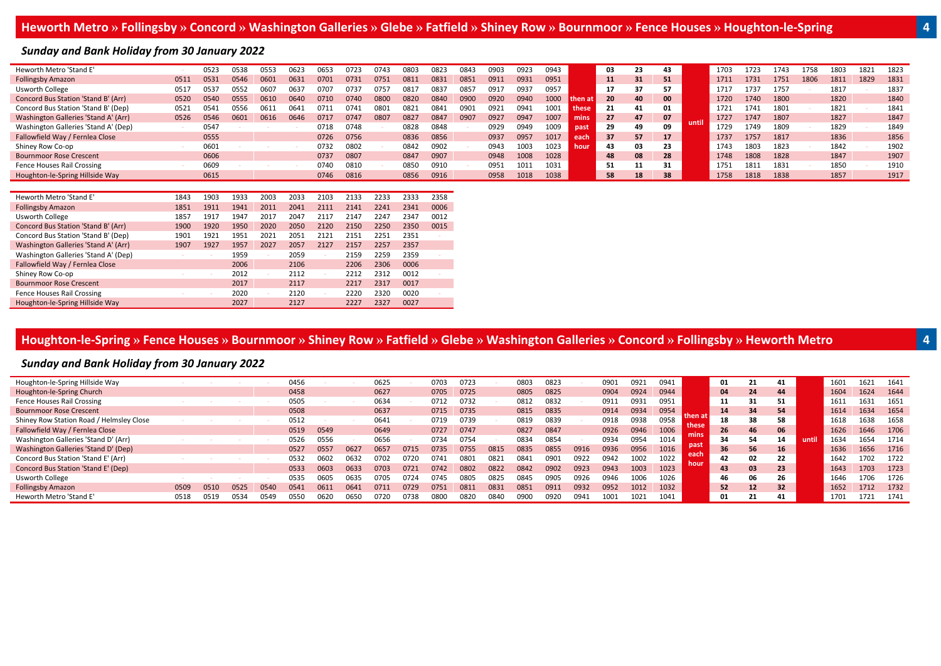#### *Sunday and Bank Holiday from 30 January 2022*

| Heworth Metro 'Stand E'              |      | 0523 | 0538 | 0553 | 0623 | 0653 | 0723 | 0743 | 0803 | 0823 | 0843 | 0903 | 0923 | 0943 |         | 03  | 23 | 43 |       | 1703 | 1723 | 1743 | 1758 | 1803 | 1821 | 1823 |
|--------------------------------------|------|------|------|------|------|------|------|------|------|------|------|------|------|------|---------|-----|----|----|-------|------|------|------|------|------|------|------|
| <b>Follingsby Amazon</b>             | 0511 | 0531 | 0546 | 0601 | 063  | 0701 | 0733 | 0751 | 0811 | 0831 | 0851 | 0911 | 0931 | 0951 |         | 11  | 31 | 51 |       | 1711 | 1731 | 1751 | 1806 | 1811 | 1829 | 1831 |
| Usworth College                      | 051  | 053  | 355. | 0607 | 063  | 0707 | 073  | 0757 | 081  | 0837 | 085  | 091. | 093  | 0957 |         |     | 37 | 57 |       | 1717 | 1737 | 1757 |      | 1817 |      | 1837 |
| Concord Bus Station 'Stand B' (Arr)  | 0520 | 0540 | 0555 | 0610 | 0640 | 0710 | 0740 | 0800 | 0820 | 0840 | 0900 | 0920 | 0940 |      | 'hen at | 20  | 40 | 00 |       | 1720 | 1740 | 1800 |      | 1820 |      | 1840 |
| Concord Bus Station 'Stand B' (Dep)  | 0521 | 0541 | )556 | 0611 | 064  | 071: | 074  | 0801 | 0823 | 0843 | 090  | 092: | 094: | 1001 | these   | 21  | 41 | 01 |       | 1721 | 1741 | 1801 |      | 1821 |      | 1841 |
| Washington Galleries 'Stand A' (Arr) | 0526 | 0546 | 0601 | 0616 | 0646 | 0717 | 0747 | 0807 | 0827 | 0847 | 0907 | 1927 | 0947 | 1007 | mins    | 27  | 47 | 07 | until | 1727 | 1747 | 1807 |      | 1827 |      | 1847 |
| Washington Galleries 'Stand A' (Dep) |      | 0547 |      |      |      | 0718 | 0748 |      | 0828 | 0848 |      | 0929 | 0949 | 1009 | past    | 29  | 49 | 09 |       | 1729 | 1749 | 1809 |      | 1829 |      | 1849 |
| Fallowfield Way / Fernlea Close      |      | 0555 |      |      |      | 0726 | 0756 |      | 0836 | 0856 |      | 0937 | 0957 |      | each    | 37  | 57 | 17 |       | 1737 | 1757 | 1817 |      | 1836 |      | 1856 |
| Shiney Row Co-op                     |      | 0601 |      |      |      | 0732 | 0802 |      | 0842 | 0902 |      | 0943 | 1003 | 1023 | hour    | 43  | 03 | 23 |       | 1743 | 1803 | 1823 |      | 1842 |      | 1902 |
| <b>Bournmoor Rose Crescent</b>       |      | 0606 |      |      |      | 0737 | 0807 |      | 0847 | 0907 |      | 0948 | 1008 | 1028 |         | 48  | 08 | 28 |       | 1748 | 1808 | 1828 |      | 1847 |      | 1907 |
| Fence Houses Rail Crossing           |      | 0609 |      |      |      | 0740 | 0810 |      | 0850 | 0910 |      | 0951 | 1011 | 1031 |         | -51 | 11 | 31 |       | 1751 | 1811 | 1831 |      | 1850 |      | 1910 |
| Houghton-le-Spring Hillside Way      |      | 0615 |      |      |      | 0746 | 0816 |      | 0856 | 0916 |      | 0958 | 1018 | 1038 |         | 58  | 18 | 38 |       | 1758 | 1818 | 1838 |      | 1857 |      | 1917 |
|                                      |      |      |      |      |      |      |      |      |      |      |      |      |      |      |         |     |    |    |       |      |      |      |      |      |      |      |

| Heworth Metro 'Stand E'              | 1843 | 1903 | 1933 | 2003 | 2033 | 2103 | 2133 | 2233 | 2333 | 2358 |
|--------------------------------------|------|------|------|------|------|------|------|------|------|------|
| <b>Follingsby Amazon</b>             | 1851 | 1911 | 1941 | 2011 | 2041 | 2111 | 2141 | 2241 | 2341 | 0006 |
| Usworth College                      | 1857 | 1917 | 1947 | 2017 | 2047 | 2117 | 2147 | 2247 | 2347 | 0012 |
| Concord Bus Station 'Stand B' (Arr)  | 1900 | 1920 | 1950 | 2020 | 2050 | 2120 | 2150 | 2250 | 2350 | 0015 |
| Concord Bus Station 'Stand B' (Dep)  | 1901 | 1921 | 1951 | 2021 | 2051 | 2121 | 2151 | 2251 | 2351 |      |
| Washington Galleries 'Stand A' (Arr) | 1907 | 1927 | 1957 | 2027 | 2057 | 2127 | 2157 | 2257 | 2357 |      |
| Washington Galleries 'Stand A' (Dep) |      |      | 1959 |      | 2059 |      | 2159 | 2259 | 2359 |      |
| Fallowfield Way / Fernlea Close      |      |      | 2006 |      | 2106 |      | 2206 | 2306 | 0006 |      |
| Shiney Row Co-op                     |      |      | 2012 |      | 2112 |      | 2212 | 2312 | 0012 |      |
| <b>Bournmoor Rose Crescent</b>       |      |      | 2017 |      | 2117 |      | 2217 | 2317 | 0017 |      |
| Fence Houses Rail Crossing           |      |      | 2020 |      | 2120 |      | 2220 | 2320 | 0020 |      |
| Houghton-le-Spring Hillside Way      |      |      | 2027 |      | 2127 |      | 2227 | 2327 | 0027 |      |

# Houghton-le-Spring » Fence Houses » Bournmoor » Shiney Row » Fatfield » Glebe » Washington Galleries » Concord » Follingsby » Heworth Metro

#### *Sunday and Bank Holiday from 30 January 2022*

| Houghton-le-Spring Hillside Way          |      |      |      |      | 0456 |      |      | 0625 |      | 0703 | 0723 |      | 0803 | 0823 |      | 0901 | 0921 | 0941 |              | 01 | 21 |    |      | 1601 | .621 | 1641 |
|------------------------------------------|------|------|------|------|------|------|------|------|------|------|------|------|------|------|------|------|------|------|--------------|----|----|----|------|------|------|------|
| Houghton-le-Spring Church                |      |      |      |      | 0458 |      |      | 0627 |      | 0705 | 0725 |      | 0805 | 0825 |      | 0904 | 0924 | 0944 |              | 04 | 24 | 44 |      | 1604 | 1624 | 1644 |
| Fence Houses Rail Crossing               |      |      |      |      | 0505 |      |      | 0634 |      | 0712 | 0732 |      | 0812 | 0832 |      | 0911 | 0931 | 0951 |              | 11 | 31 | 51 |      | 1611 | 1631 | 1651 |
| <b>Bournmoor Rose Crescent</b>           |      |      |      |      | 0508 |      |      | 0637 |      | 0715 | 0735 |      | 0815 | 0835 |      | 0914 | 0934 | 0954 |              | 14 | 34 | 54 |      | 1614 | 1634 | 1654 |
| Shiney Row Station Road / Helmsley Close |      |      |      |      | 0512 |      |      | 0641 |      | 0719 | 0739 |      | 0819 | 0839 |      | 0918 | 0938 | 0958 | these        | 18 | 38 | 58 |      | 1618 | 1638 | 1658 |
| Fallowfield Way / Fernlea Close          |      |      |      |      | 0519 | 0549 |      | 0649 |      | 0727 | 0747 |      | 0827 | 0847 |      | 0926 | 0946 | 1006 |              | 26 | 46 | 06 |      | 1626 | 1646 | 1706 |
| Washington Galleries 'Stand D' (Arr)     |      |      |      |      | 0526 | 0556 |      | 0656 |      | 0734 | 0754 |      | 0834 | 0854 |      | 0934 | 0954 | 1014 |              | 34 | 54 | 14 | unti | 1634 | 1654 | 1714 |
| Washington Galleries 'Stand D' (Dep)     |      |      |      |      | 0527 | 0557 | 0627 | 0657 | 0715 | 0735 | 0755 | 0815 | 0835 | 0855 | 0916 | 0936 | 0956 | 1016 | past         | 36 | 56 | 16 |      | 1636 | 1656 | 1716 |
| Concord Bus Station 'Stand E' (Arr)      |      |      |      |      | 0532 | 0602 | 063. | 0702 | 0720 | 0741 | 0801 | 082  | 0843 | 0901 | 0922 | 0942 | 1002 | 1022 | each<br>hour | 42 | 02 | 22 |      | 1642 | 1702 | 1722 |
| Concord Bus Station 'Stand E' (Dep)      |      |      |      |      | 0533 | 0603 | 0633 | 0703 | 0721 | 0742 | 0802 | 0822 | 0842 | 0902 | 0923 | 0943 | 1003 | 1023 |              | 43 | 03 | 23 |      | 1643 | 1703 | 1723 |
| Usworth College                          |      |      |      |      | 0535 | 0605 | 0635 | 0705 | 0724 | 0745 | 0805 | 0825 | 0845 | 0905 | 0926 | 0946 | 1006 | 1026 |              | 46 | 06 | 26 |      | 1646 | 1706 | 1726 |
| <b>Follingsby Amazon</b>                 | 0509 | 0510 | 0525 | 0540 | 0541 | 0611 | 064  | 0711 |      | 0751 | 081  | 0831 | 0851 | 0911 | 0932 | 0952 | 1012 | 1032 |              | 52 | 12 | 32 |      | 1652 | 1712 | 1732 |
| Heworth Metro 'Stand E'                  | 0518 | 0519 | 0534 | 0549 | 0550 | 0620 | 0650 | 0720 | 0738 | 0800 | 0820 | 0840 | 0900 | 0920 | 0943 | 1001 | 1021 | 1041 |              | 01 | 21 | 41 |      | 1701 | 1721 | 1741 |